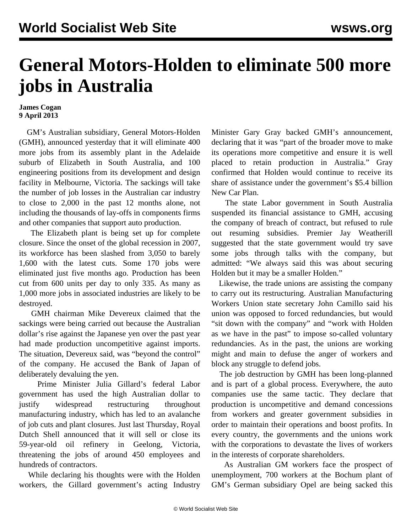## **General Motors-Holden to eliminate 500 more jobs in Australia**

## **James Cogan 9 April 2013**

 GM's Australian subsidiary, General Motors-Holden (GMH), announced yesterday that it will eliminate 400 more jobs from its assembly plant in the Adelaide suburb of Elizabeth in South Australia, and 100 engineering positions from its development and design facility in Melbourne, Victoria. The sackings will take the number of job losses in the Australian car industry to close to 2,000 in the past 12 months alone, not including the thousands of lay-offs in components firms and other companies that support auto production.

 The Elizabeth plant is being set up for complete closure. Since the onset of the global recession in 2007, its workforce has been slashed from 3,050 to barely 1,600 with the latest cuts. Some 170 jobs were eliminated just five months ago. Production has been cut from 600 units per day to only 335. As many as 1,000 more jobs in associated industries are likely to be destroyed.

 GMH chairman Mike Devereux claimed that the sackings were being carried out because the Australian dollar's rise against the Japanese yen over the past year had made production uncompetitive against imports. The situation, Devereux said, was "beyond the control" of the company. He accused the Bank of Japan of deliberately devaluing the yen.

 Prime Minister Julia Gillard's federal Labor government has used the high Australian dollar to justify widespread restructuring throughout manufacturing industry, which has led to an avalanche of job cuts and plant closures. Just last Thursday, Royal Dutch Shell announced that it will sell or close its 59-year-old oil refinery in Geelong, Victoria, threatening the jobs of around 450 employees and hundreds of contractors.

 While declaring his thoughts were with the Holden workers, the Gillard government's acting Industry Minister Gary Gray backed GMH's announcement, declaring that it was "part of the broader move to make its operations more competitive and ensure it is well placed to retain production in Australia." Gray confirmed that Holden would continue to receive its share of assistance under the government's \$5.4 billion New Car Plan.

 The state Labor government in South Australia suspended its financial assistance to GMH, accusing the company of breach of contract, but refused to rule out resuming subsidies. Premier Jay Weatherill suggested that the state government would try save some jobs through talks with the company, but admitted: "We always said this was about securing Holden but it may be a smaller Holden."

 Likewise, the trade unions are assisting the company to carry out its restructuring. Australian Manufacturing Workers Union state secretary John Camillo said his union was opposed to forced redundancies, but would "sit down with the company" and "work with Holden as we have in the past" to impose so-called voluntary redundancies. As in the past, the unions are working might and main to defuse the anger of workers and block any struggle to defend jobs.

 The job destruction by GMH has been long-planned and is part of a global process. Everywhere, the auto companies use the same tactic. They declare that production is uncompetitive and demand concessions from workers and greater government subsidies in order to maintain their operations and boost profits. In every country, the governments and the unions work with the corporations to devastate the lives of workers in the interests of corporate shareholders.

 As Australian GM workers face the prospect of unemployment, 700 workers at the Bochum plant of GM's German subsidiary Opel are being sacked this